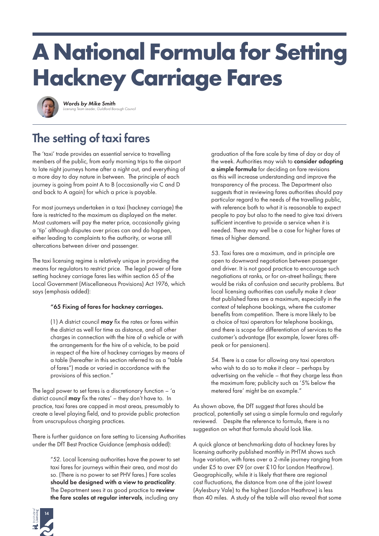# **A National Formula for Setting Hackney Carriage Fares**



*Words by Mike Smith Licensing Team Leader, Guildford Borough Council*

## The setting of taxi fares

The 'taxi' trade provides an essential service to travelling members of the public, from early morning trips to the airport to late night journeys home after a night out, and everything of a more day to day nature in between. The principle of each journey is going from point A to B (occasionally via C and D and back to A again) for which a price is payable.

For most journeys undertaken in a taxi (hackney carriage) the fare is restricted to the maximum as displayed on the meter. Most customers will pay the meter price, occasionally giving a 'tip' although disputes over prices can and do happen, either leading to complaints to the authority, or worse still altercations between driver and passenger.

The taxi licensing regime is relatively unique in providing the means for regulators to restrict price. The legal power of fare setting hackney carriage fares lies within section 65 of the Local Government (Miscellaneous Provisions) Act 1976, which says (emphasis added):

### "65 Fixing of fares for hackney carriages.

 $(1)$  A district council **may** fix the rates or fares within the district as well for time as distance, and all other charges in connection with the hire of a vehicle or with the arrangements for the hire of a vehicle, to be paid in respect of the hire of hackney carriages by means of a table (hereafter in this section referred to as a "table of fares") made or varied in accordance with the provisions of this section."

The legal power to set fares is a discretionary function  $-$  'a district council may fix the rates' – they don't have to. In practice, taxi fares are capped in most areas, presumably to create a level playing field, and to provide public protection from unscrupulous charging practices.

There is further guidance on fare setting to Licensing Authorities under the DfT Best Practice Guidance (emphasis added):

> "52. Local licensing authorities have the power to set taxi fares for journeys within their area, and most do so. (There is no power to set PHV fares.) Fare scales should be designed with a view to practicality. The Department sees it as good practice to review the fare scales at regular intervals, including any

graduation of the fare scale by time of day or day of the week. Authorities may wish to consider adopting a simple formula for deciding on fare revisions as this will increase understanding and improve the transparency of the process. The Department also suggests that in reviewing fares authorities should pay particular regard to the needs of the travelling public, with reference both to what it is reasonable to expect people to pay but also to the need to give taxi drivers sufficient incentive to provide a service when it is needed. There may well be a case for higher fares at times of higher demand.

53. Taxi fares are a maximum, and in principle are open to downward negotiation between passenger and driver. It is not good practice to encourage such negotiations at ranks, or for on-street hailings; there would be risks of confusion and security problems. But local licensing authorities can usefully make it clear that published fares are a maximum, especially in the context of telephone bookings, where the customer benefits from competition. There is more likely to be a choice of taxi operators for telephone bookings, and there is scope for differentiation of services to the customer's advantage (for example, lower fares offpeak or for pensioners).

54. There is a case for allowing any taxi operators who wish to do so to make it clear – perhaps by advertising on the vehicle – that they charge less than the maximum fare; publicity such as '5% below the metered fare' might be an example."

As shown above, the DfT suggest that fares should be practical, potentially set using a simple formula and regularly reviewed. Despite the reference to formula, there is no suggestion on what that formula should look like.

A quick glance at benchmarking data of hackney fares by licensing authority published monthly in PHTM shows such huge variation, with fares over a 2-mile journey ranging from under £5 to over £9 (or over £10 for London Heathrow). Geographically, while it is likely that there are regional cost fluctuations, the distance from one of the joint lowest (Aylesbury Vale) to the highest (London Heathrow) is less than 40 miles. A study of the table will also reveal that some

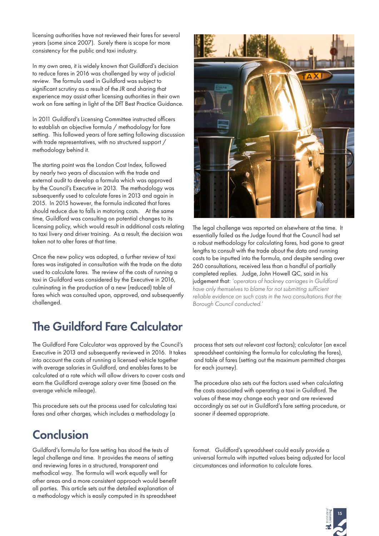licensing authorities have not reviewed their fares for several years (some since 2007). Surely there is scope for more consistency for the public and taxi industry.

In my own area, it is widely known that Guildford's decision to reduce fares in 2016 was challenged by way of judicial review. The formula used in Guildford was subject to significant scrutiny as a result of the JR and sharing that experience may assist other licensing authorities in their own work on fare setting in light of the DfT Best Practice Guidance.

In 2011 Guildford's Licensing Committee instructed officers to establish an objective formula / methodology for fare setting. This followed years of fare setting following discussion with trade representatives, with no structured support / methodology behind it.

The starting point was the London Cost Index, followed by nearly two years of discussion with the trade and external audit to develop a formula which was approved by the Council's Executive in 2013. The methodology was subsequently used to calculate fares in 2013 and again in 2015. In 2015 however, the formula indicated that fares should reduce due to falls in motoring costs. At the same time, Guildford was consulting on potential changes to its licensing policy, which would result in additional costs relating to taxi livery and driver training. As a result, the decision was taken not to alter fares at that time.

Once the new policy was adopted, a further review of taxi fares was instigated in consultation with the trade on the data used to calculate fares. The review of the costs of running a taxi in Guildford was considered by the Executive in 2016, culminating in the production of a new (reduced) table of fares which was consulted upon, approved, and subsequently challenged.

### The Guildford Fare Calculator

The Guildford Fare Calculator was approved by the Council's Executive in 2013 and subsequently reviewed in 2016. It takes into account the costs of running a licensed vehicle together with average salaries in Guildford, and enables fares to be calculated at a rate which will allow drivers to cover costs and earn the Guildford average salary over time (based on the average vehicle mileage).

This procedure sets out the process used for calculating taxi fares and other charges, which includes a methodology (a

### **Conclusion**

Guildford's formula for fare setting has stood the tests of legal challenge and time. It provides the means of setting and reviewing fares in a structured, transparent and methodical way. The formula will work equally well for other areas and a more consistent approach would benefit all parties. This article sets out the detailed explanation of a methodology which is easily computed in its spreadsheet



The legal challenge was reported on elsewhere at the time. It essentially failed as the Judge found that the Council had set a robust methodology for calculating fares, had gone to great lengths to consult with the trade about the data and running costs to be inputted into the formula, and despite sending over 260 consultations, received less than a handful of partially completed replies. Judge, John Howell QC, said in his judgement that: *'operators of hackney carriages in Guildford have only themselves to blame for not submitting sufficient reliable evidence on such costs in the two consultations that the Borough Council conducted.'*

process that sets out relevant cost factors); calculator (an excel spreadsheet containing the formula for calculating the fares), and table of fares (setting out the maximum permitted charges for each journey).

The procedure also sets out the factors used when calculating the costs associated with operating a taxi in Guildford. The values of these may change each year and are reviewed accordingly as set out in Guildford's fare setting procedure, or sooner if deemed appropriate.

format. Guildford's spreadsheet could easily provide a universal formula with inputted values being adjusted for local circumstances and information to calculate fares.

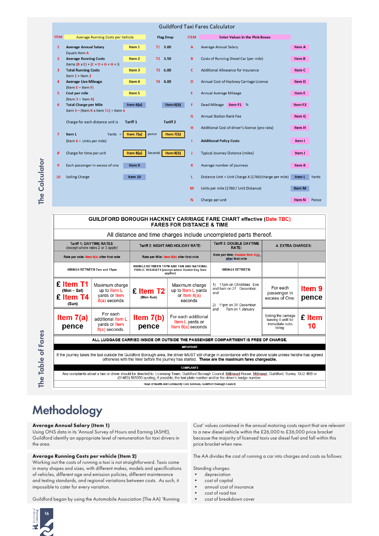| Guildford Taxi Fares Calculator |                |                                                  |                   |                                     |                                       |                                                      |                     |       |
|---------------------------------|----------------|--------------------------------------------------|-------------------|-------------------------------------|---------------------------------------|------------------------------------------------------|---------------------|-------|
|                                 | <b>ITEM</b>    | Average Running Costs per Vehicle                | <b>Flag Drop</b>  | <b>ITEM</b>                         | <b>Enter Values in the Pink Boxes</b> |                                                      |                     |       |
|                                 | $\mathbf{1}$   | <b>Average Annual Salary</b>                     | Item 1            | T1 3.00                             | A                                     | Average Annual Salary                                | Item A              |       |
|                                 |                | Equals Item A                                    |                   |                                     |                                       |                                                      |                     |       |
|                                 | $\overline{2}$ | <b>Average Running Costs</b>                     | Item 2            | T2 3.50                             | B                                     | Costs of Running Diesel Car (per mile)               | Item B              |       |
|                                 |                | Items $(B \times E) + (C + D + G + H + I)$       |                   |                                     |                                       |                                                      |                     |       |
|                                 | 3              | <b>Total Running Costs</b>                       | Item <sub>3</sub> | T <sub>3</sub><br>6.00              | $\mathbf{C}$                          | <b>Additional Allowance for Insurance</b>            | Item C              |       |
|                                 |                | Item $1 +$ Item $2$                              |                   |                                     |                                       |                                                      |                     |       |
|                                 | 4              | <b>Average Live Mileage</b>                      | Item 4            | T4 4.00                             | D                                     | Annual Cost of Hackney Carriage Licence              | Item D              |       |
|                                 |                | $($ ltem $E -$ ltem $F$ )                        |                   |                                     |                                       |                                                      |                     |       |
|                                 | 5              | Cost per mile                                    | Item 5            |                                     | Ε                                     | Annual Average Mileage                               | Item E              |       |
|                                 |                | (Item $3 \div$ Item 4)                           |                   |                                     |                                       |                                                      |                     |       |
|                                 | 6              | <b>Total Charge per Mile</b>                     | Item $6(a)$       | Item $6(b)$                         | F                                     | Dead Mileage<br>Item F1 %                            | Item F <sub>2</sub> |       |
|                                 |                | Item $3 - ($ Item $K \times$ Item $T1) -$ Item 4 |                   |                                     |                                       |                                                      |                     |       |
|                                 |                |                                                  |                   |                                     | G                                     | <b>Annual Station Rank Fee</b>                       | Item G              |       |
|                                 |                | Charge for each distance unit is                 | Tariff 1          | <b>Tariff 2</b>                     |                                       |                                                      |                     |       |
|                                 |                |                                                  |                   |                                     | н                                     | Additional Cost of driver's licence (pro-rata)       | Item H              |       |
|                                 | $\overline{7}$ | Item L<br>Yards $=$                              | Item $7(a)$       | Item 7(b)<br>pence                  |                                       |                                                      |                     |       |
|                                 |                | (Item $6 \div$ Units per mile)                   |                   |                                     |                                       | <b>Additional Policy Costs</b>                       | Item I              |       |
|                                 |                |                                                  |                   |                                     |                                       |                                                      |                     |       |
|                                 | 8              | Charge for time per unit                         | Item $8(a)$       | Seconds <sup>1</sup><br>Item $8(b)$ | J                                     | <b>Typical Journey Distance (miles)</b>              | Item J              |       |
|                                 |                |                                                  |                   |                                     |                                       |                                                      |                     |       |
|                                 | 9              | Each passenger in excess of one                  | Item 9            |                                     | κ                                     | Average number of journeys                           | Item K              |       |
|                                 |                |                                                  |                   |                                     |                                       |                                                      |                     |       |
|                                 | 10             | <b>Soiling Charge</b>                            | Item 10           |                                     | L                                     | Distance Unit = Unit Charge X (1760/charge per mile) | Item L              | Yard: |
|                                 |                |                                                  |                   |                                     |                                       |                                                      |                     |       |
|                                 |                |                                                  |                   |                                     | M                                     | Units per mile (1760 / Unit Distance)                | <b>Item M</b>       |       |
|                                 |                |                                                  |                   |                                     |                                       |                                                      |                     |       |
|                                 |                |                                                  |                   |                                     | N                                     | Charge per unit                                      | <b>Item N</b>       | Penc  |
|                                 |                |                                                  |                   |                                     |                                       |                                                      |                     |       |



#### **Average Annual Salary (Item 1)**

Using ONS data in its 'Annual Survey of Hours and Earning (ASHE), Guildford identify an appropriate level of remuneration for taxi drivers in the area.

#### **Average Running Costs per vehicle (Item 2)**

Working out the costs of running a taxi is not straightforward. Taxis come in many shapes and sizes, with different makes, models and specifications of vehicles, different age and emission policies, different maintenance and testing standards, and regional variations between costs. As such, it impossible to cater for every variation.

Guildford began by using the Automobile Association (The AA) 'Running

Cost' values contained in the annual motoring costs report that are relevant to a new diesel vehicle within the £26,000 to £36,000 price bracket because the majority of licensed taxis use diesel fuel and fall within this price bracket when new.

The AA divides the cost of running a car into charges and costs as follows:

Standing charges:

- depreciation
- cost of capital
- annual cost of insurance
- cost of road tax
- cost of breakdown cover